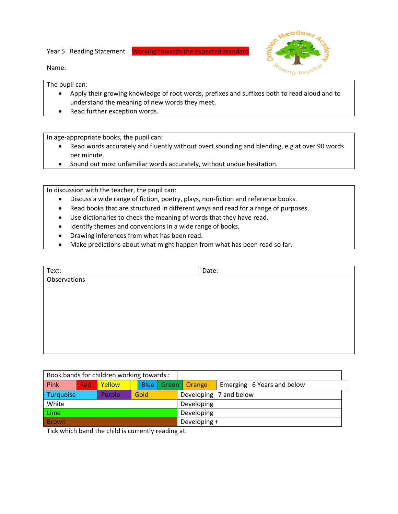Year 5 Reading Statement Working towards the expected standard



Name:

The pupil can:

- Apply their growing knowledge of root words, prefixes and suffixes both to read aloud and to understand the meaning of new words they meet.
- Read further exception words.

In age-appropriate books, the pupil can:

- Read words accurately and fluently without overt sounding and blending, e.g at over 90 words per minute.
- Sound out most unfamiliar words accurately, without undue hesitation.

In discussion with the teacher, the pupil can:

- Discuss a wide range of fiction, poetry, plays, non-fiction and reference books.
- Read books that are structured in different ways and read for a range of purposes.
- Use dictionaries to check the meaning of words that they have read.
- Identify themes and conventions in a wide range of books.
- Drawing inferences from what has been read.
- Make predictions about what might happen from what has been read so far.

| Text:        | Date: |  |
|--------------|-------|--|
| Observations |       |  |
|              |       |  |
|              |       |  |
|              |       |  |
|              |       |  |
|              |       |  |
|              |       |  |
|              |       |  |

| Book bands for children working towards : |            |        |      |              |        |                            |
|-------------------------------------------|------------|--------|------|--------------|--------|----------------------------|
| Pink                                      | <b>Red</b> | Yellow | Blue | Green        | Orange | Emerging 6 Years and below |
| Turquoise                                 |            | Purple | Gold |              |        | Developing 7 and below     |
| White                                     |            |        |      | Developing   |        |                            |
| Lime                                      |            |        |      | Developing   |        |                            |
| <b>Brown</b>                              |            |        |      | Developing + |        |                            |

Tick which band the child is currently reading at.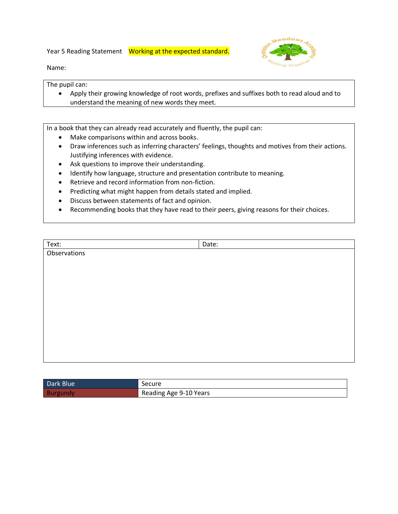Year 5 Reading Statement Working at the expected standard.



Name:

The pupil can:

 Apply their growing knowledge of root words, prefixes and suffixes both to read aloud and to understand the meaning of new words they meet.

In a book that they can already read accurately and fluently, the pupil can:

- Make comparisons within and across books.
- Draw inferences such as inferring characters' feelings, thoughts and motives from their actions. Justifying inferences with evidence.
- Ask questions to improve their understanding.
- Identify how language, structure and presentation contribute to meaning.
- Retrieve and record information from non-fiction.
- Predicting what might happen from details stated and implied.
- Discuss between statements of fact and opinion.
- Recommending books that they have read to their peers, giving reasons for their choices.

| Text:        | Date: |
|--------------|-------|
| Observations |       |
|              |       |
|              |       |
|              |       |
|              |       |
|              |       |
|              |       |
|              |       |
|              |       |
|              |       |
|              |       |
|              |       |

| Dark Blue | Secure                 |
|-----------|------------------------|
| Burgundy  | Reading Age 9-10 Years |